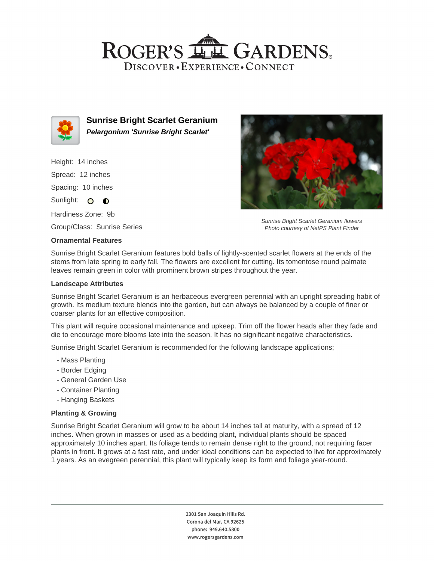## ROGER'S **LL GARDENS** DISCOVER · EXPERIENCE · CONNECT



**Sunrise Bright Scarlet Geranium Pelargonium 'Sunrise Bright Scarlet'**

Height: 14 inches Spread: 12 inches Spacing: 10 inches

Sunlight: O **O** 

Hardiness Zone: 9b

Group/Class: Sunrise Series

#### **Ornamental Features**

Sunrise Bright Scarlet Geranium flowers Photo courtesy of NetPS Plant Finder

Sunrise Bright Scarlet Geranium features bold balls of lightly-scented scarlet flowers at the ends of the stems from late spring to early fall. The flowers are excellent for cutting. Its tomentose round palmate leaves remain green in color with prominent brown stripes throughout the year.

#### **Landscape Attributes**

Sunrise Bright Scarlet Geranium is an herbaceous evergreen perennial with an upright spreading habit of growth. Its medium texture blends into the garden, but can always be balanced by a couple of finer or coarser plants for an effective composition.

This plant will require occasional maintenance and upkeep. Trim off the flower heads after they fade and die to encourage more blooms late into the season. It has no significant negative characteristics.

Sunrise Bright Scarlet Geranium is recommended for the following landscape applications;

- Mass Planting
- Border Edging
- General Garden Use
- Container Planting
- Hanging Baskets

### **Planting & Growing**

Sunrise Bright Scarlet Geranium will grow to be about 14 inches tall at maturity, with a spread of 12 inches. When grown in masses or used as a bedding plant, individual plants should be spaced approximately 10 inches apart. Its foliage tends to remain dense right to the ground, not requiring facer plants in front. It grows at a fast rate, and under ideal conditions can be expected to live for approximately 1 years. As an evegreen perennial, this plant will typically keep its form and foliage year-round.

> 2301 San Joaquin Hills Rd. Corona del Mar, CA 92625 phone: 949.640.5800 www.rogersgardens.com